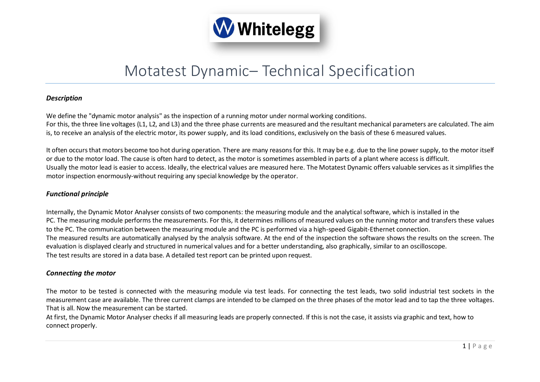

# Motatest Dynamic– Technical Specification

## *Description*

We define the "dynamic motor analysis" as the inspection of a running motor under normal working conditions. For this, the three line voltages (L1, L2, and L3) and the three phase currents are measured and the resultant mechanical parameters are calculated. The aim is, to receive an analysis of the electric motor, its power supply, and its load conditions, exclusively on the basis of these 6 measured values.

It often occurs that motors become too hot during operation. There are many reasons for this. It may be e.g. due to the line power supply, to the motor itself or due to the motor load. The cause is often hard to detect, as the motor is sometimes assembled in parts of a plant where access is difficult. Usually the motor lead is easier to access. Ideally, the electrical values are measured here. The Motatest Dynamic offers valuable services as it simplifies the motor inspection enormously-without requiring any special knowledge by the operator.

## *Functional principle*

Internally, the Dynamic Motor Analyser consists of two components: the measuring module and the analytical software, which is installed in the PC. The measuring module performs the measurements. For this, it determines millions of measured values on the running motor and transfers these values to the PC. The communication between the measuring module and the PC is performed via a high-speed Gigabit-Ethernet connection. The measured results are automatically analysed by the analysis software. At the end of the inspection the software shows the results on the screen. The evaluation is displayed clearly and structured in numerical values and for a better understanding, also graphically, similar to an oscilloscope. The test results are stored in a data base. A detailed test report can be printed upon request.

#### *Connecting the motor*

The motor to be tested is connected with the measuring module via test leads. For connecting the test leads, two solid industrial test sockets in the measurement case are available. The three current clamps are intended to be clamped on the three phases of the motor lead and to tap the three voltages. That is all. Now the measurement can be started.

At first, the Dynamic Motor Analyser checks if all measuring leads are properly connected. If this is not the case, it assists via graphic and text, how to connect properly.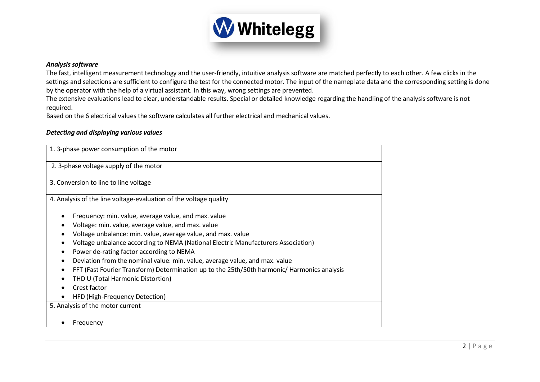

#### *Analysis software*

The fast, intelligent measurement technology and the user-friendly, intuitive analysis software are matched perfectly to each other. A few clicks in the settings and selections are sufficient to configure the test for the connected motor. The input of the nameplate data and the corresponding setting is done by the operator with the help of a virtual assistant. In this way, wrong settings are prevented.

The extensive evaluations lead to clear, understandable results. Special or detailed knowledge regarding the handling of the analysis software is not required.

Based on the 6 electrical values the software calculates all further electrical and mechanical values.

#### *Detecting and displaying various values*

| 1. 3-phase power consumption of the motor                                                   |  |  |
|---------------------------------------------------------------------------------------------|--|--|
| 2. 3-phase voltage supply of the motor                                                      |  |  |
| 3. Conversion to line to line voltage                                                       |  |  |
| 4. Analysis of the line voltage-evaluation of the voltage quality                           |  |  |
| Frequency: min. value, average value, and max. value                                        |  |  |
| Voltage: min. value, average value, and max. value                                          |  |  |
| Voltage unbalance: min. value, average value, and max. value                                |  |  |
| Voltage unbalance according to NEMA (National Electric Manufacturers Association)           |  |  |
| Power de-rating factor according to NEMA                                                    |  |  |
| Deviation from the nominal value: min. value, average value, and max. value                 |  |  |
| FFT (Fast Fourier Transform) Determination up to the 25th/50th harmonic/ Harmonics analysis |  |  |
| THD U (Total Harmonic Distortion)                                                           |  |  |
| Crest factor                                                                                |  |  |
| HFD (High-Frequency Detection)                                                              |  |  |
| 5. Analysis of the motor current                                                            |  |  |
| Frequency                                                                                   |  |  |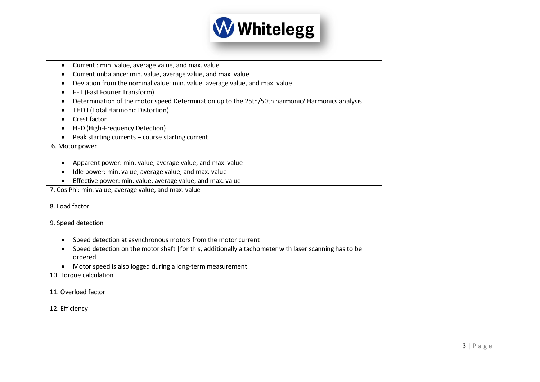

| Current : min. value, average value, and max. value<br>$\bullet$                                       |  |  |
|--------------------------------------------------------------------------------------------------------|--|--|
| Current unbalance: min. value, average value, and max. value                                           |  |  |
| Deviation from the nominal value: min. value, average value, and max. value                            |  |  |
| FFT (Fast Fourier Transform)                                                                           |  |  |
| Determination of the motor speed Determination up to the 25th/50th harmonic/ Harmonics analysis<br>٠   |  |  |
| THD I (Total Harmonic Distortion)<br>$\bullet$                                                         |  |  |
| Crest factor                                                                                           |  |  |
| HFD (High-Frequency Detection)                                                                         |  |  |
| Peak starting currents - course starting current                                                       |  |  |
| 6. Motor power                                                                                         |  |  |
|                                                                                                        |  |  |
| Apparent power: min. value, average value, and max. value                                              |  |  |
| Idle power: min. value, average value, and max. value                                                  |  |  |
| Effective power: min. value, average value, and max. value                                             |  |  |
| 7. Cos Phi: min. value, average value, and max. value                                                  |  |  |
|                                                                                                        |  |  |
| 8. Load factor                                                                                         |  |  |
| 9. Speed detection                                                                                     |  |  |
|                                                                                                        |  |  |
| Speed detection at asynchronous motors from the motor current                                          |  |  |
| Speed detection on the motor shaft   for this, additionally a tachometer with laser scanning has to be |  |  |
| ordered                                                                                                |  |  |
| Motor speed is also logged during a long-term measurement                                              |  |  |
| 10. Torque calculation                                                                                 |  |  |
|                                                                                                        |  |  |
| 11. Overload factor                                                                                    |  |  |
|                                                                                                        |  |  |
| 12. Efficiency                                                                                         |  |  |
|                                                                                                        |  |  |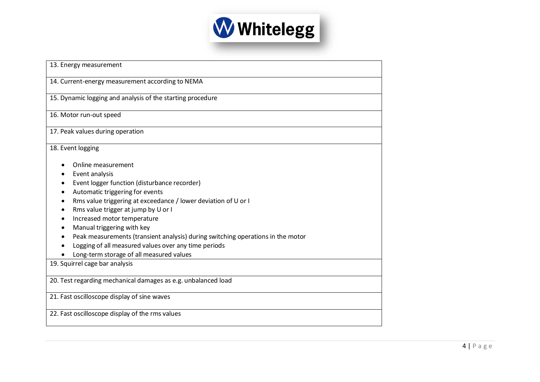

| 13. Energy measurement                                                          |  |
|---------------------------------------------------------------------------------|--|
| 14. Current-energy measurement according to NEMA                                |  |
| 15. Dynamic logging and analysis of the starting procedure                      |  |
| 16. Motor run-out speed                                                         |  |
| 17. Peak values during operation                                                |  |
| 18. Event logging                                                               |  |
| Online measurement                                                              |  |
| Event analysis                                                                  |  |
| Event logger function (disturbance recorder)                                    |  |
| Automatic triggering for events                                                 |  |
| Rms value triggering at exceedance / lower deviation of U or I                  |  |
| Rms value trigger at jump by U or I<br>$\bullet$                                |  |
| Increased motor temperature                                                     |  |
| Manual triggering with key                                                      |  |
| Peak measurements (transient analysis) during switching operations in the motor |  |
| Logging of all measured values over any time periods                            |  |
| Long-term storage of all measured values                                        |  |
| 19. Squirrel cage bar analysis                                                  |  |
| 20. Test regarding mechanical damages as e.g. unbalanced load                   |  |
| 21. Fast oscilloscope display of sine waves                                     |  |
| 22. Fast oscilloscope display of the rms values                                 |  |